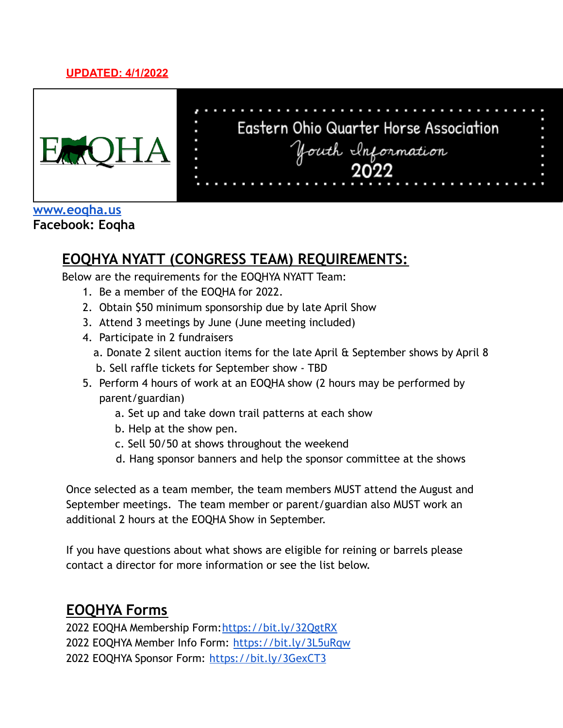#### **UPDATED: 4/1/2022**



# Eastern Ohio Quarter Horse Association youth Information

#### **[www.eoqha.us](http://www.eoqha.us) Facebook: Eoqha**

# **EOQHYA NYATT (CONGRESS TEAM) REQUIREMENTS:**

Below are the requirements for the EOQHYA NYATT Team:

- 1. Be a member of the EOQHA for 2022.
- 2. Obtain \$50 minimum sponsorship due by late April Show
- 3. Attend 3 meetings by June (June meeting included)
- 4. Participate in 2 fundraisers
	- a. Donate 2 silent auction items for the late April & September shows by April 8 b. Sell raffle tickets for September show - TBD
- 5. Perform 4 hours of work at an EOQHA show (2 hours may be performed by parent/guardian)
	- a. Set up and take down trail patterns at each show
	- b. Help at the show pen.
	- c. Sell 50/50 at shows throughout the weekend
	- d. Hang sponsor banners and help the sponsor committee at the shows

Once selected as a team member, the team members MUST attend the August and September meetings. The team member or parent/guardian also MUST work an additional 2 hours at the EOQHA Show in September.

If you have questions about what shows are eligible for reining or barrels please contact a director for more information or see the list below.

# **EOQHYA Forms**

2022 EOQHA Membership Form:<https://bit.ly/32QgtRX> 2022 EOQHYA Member Info Form: <https://bit.ly/3L5uRqw> 2022 EOQHYA Sponsor Form: <https://bit.ly/3GexCT3>